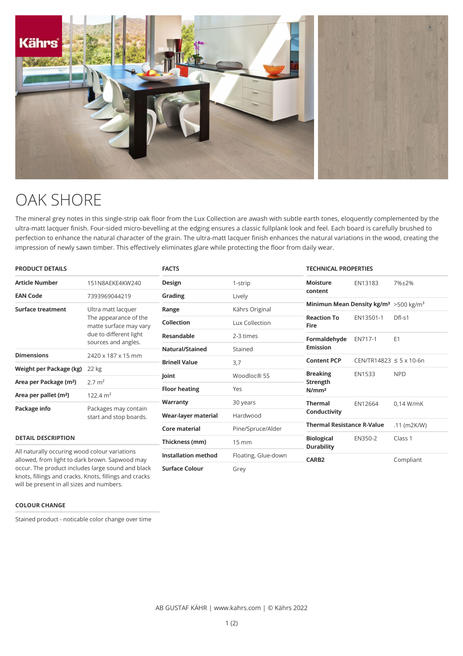

## OAK SHORE

The mineral grey notes in this single-strip oak floor from the Lux Collection are awash with subtle earth tones, eloquently complemented by the ultra-matt lacquer finish. Four-sided micro-bevelling at the edging ensures a classic fullplank look and feel. Each board is carefully brushed to perfection to enhance the natural character of the grain. The ultra-matt lacquer finish enhances the natural variations in the wood, creating the impression of newly sawn timber. This effectively eliminates glare while protecting the floor from daily wear.

| <b>PRODUCT DETAILS</b>                                                                                                                               |                                                                                                                        | <b>FACTS</b>               |                     | <b>TECHNICAL PROPERTIES</b>                                    |                                  |                |
|------------------------------------------------------------------------------------------------------------------------------------------------------|------------------------------------------------------------------------------------------------------------------------|----------------------------|---------------------|----------------------------------------------------------------|----------------------------------|----------------|
| <b>Article Number</b>                                                                                                                                | 151N8AEKE4KW240                                                                                                        | Design                     | 1-strip             | <b>Moisture</b>                                                | EN13183                          | 7%±2%          |
| <b>EAN Code</b>                                                                                                                                      | 7393969044219                                                                                                          | Grading                    | Lively              | content                                                        |                                  |                |
| <b>Surface treatment</b>                                                                                                                             | Ultra matt lacquer<br>The appearance of the<br>matte surface may vary<br>due to different light<br>sources and angles. | Range                      | Kährs Original      | Minimun Mean Density kg/m <sup>3</sup> > 500 kg/m <sup>3</sup> |                                  |                |
|                                                                                                                                                      |                                                                                                                        | <b>Collection</b>          | Lux Collection      | <b>Reaction To</b><br><b>Fire</b>                              | EN13501-1                        | $DfI-S1$       |
|                                                                                                                                                      |                                                                                                                        | <b>Resandable</b>          | 2-3 times           | Formaldehyde<br><b>Emission</b>                                | EN717-1                          | E <sub>1</sub> |
|                                                                                                                                                      |                                                                                                                        | <b>Natural/Stained</b>     | Stained             |                                                                |                                  |                |
| <b>Dimensions</b>                                                                                                                                    | 2420 x 187 x 15 mm                                                                                                     | <b>Brinell Value</b>       | 3,7                 | <b>Content PCP</b>                                             | $CEN/TR14823 \le 5 \times 10-6n$ |                |
| Weight per Package (kg)                                                                                                                              | 22 kg                                                                                                                  | Joint                      | Woodloc® 5S         | <b>Breaking</b>                                                | <b>EN1533</b>                    | <b>NPD</b>     |
| Area per Package (m <sup>2</sup> )                                                                                                                   | $2.7 \text{ m}^2$                                                                                                      |                            |                     | <b>Strength</b>                                                |                                  |                |
| Area per pallet (m <sup>2</sup> )                                                                                                                    | $122.4 \text{ m}^2$                                                                                                    | <b>Floor heating</b>       | Yes                 | N/mm <sup>2</sup>                                              |                                  |                |
| Package info                                                                                                                                         | Packages may contain<br>start and stop boards.                                                                         | Warranty                   | 30 years            | <b>Thermal</b>                                                 | EN12664                          | $0.14$ W/mK    |
|                                                                                                                                                      |                                                                                                                        | Wear-layer material        | Hardwood            | Conductivity                                                   |                                  |                |
|                                                                                                                                                      |                                                                                                                        | Core material              | Pine/Spruce/Alder   | <b>Thermal Resistance R-Value</b>                              |                                  | $.11$ (m2K/W)  |
| <b>DETAIL DESCRIPTION</b>                                                                                                                            |                                                                                                                        | Thickness (mm)             | $15 \, \text{mm}$   | <b>Biological</b><br><b>Durability</b>                         | EN350-2                          | Class 1        |
| All naturally occuring wood colour variations<br>allowed, from light to dark brown. Sapwood may<br>occur. The product includes large sound and black |                                                                                                                        | <b>Installation method</b> | Floating, Glue-down | <b>CARB2</b>                                                   |                                  | Compliant      |
|                                                                                                                                                      |                                                                                                                        | <b>Surface Colour</b>      | Grey                |                                                                |                                  |                |

**COLOUR CHANGE**

Stained product - noticable color change over time

knots, fillings and cracks. Knots, fillings and cracks will be present in all sizes and numbers.